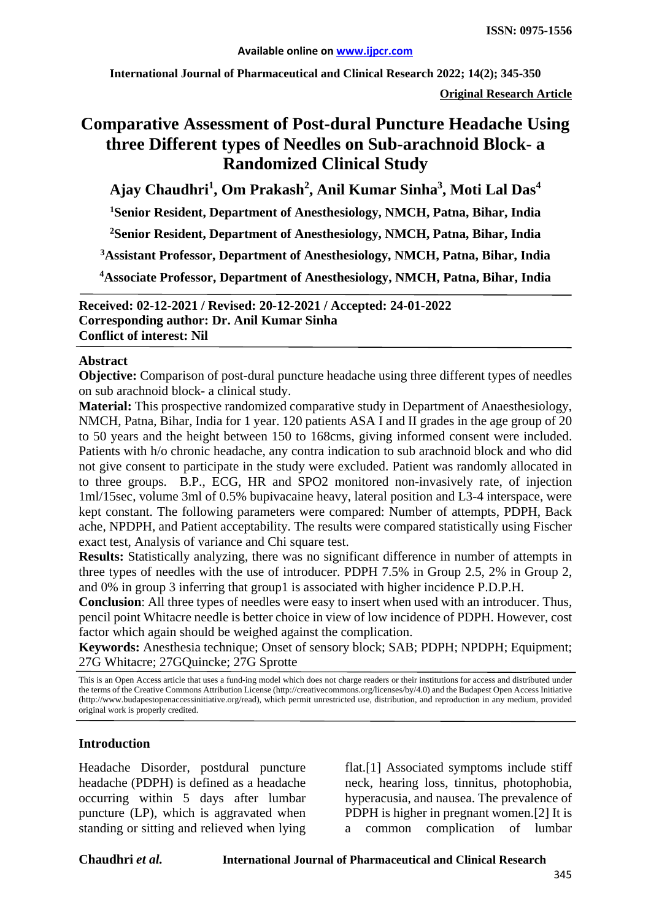**International Journal of Pharmaceutical and Clinical Research 2022; 14(2); 345-350**

**Original Research Article**

# **Comparative Assessment of Post-dural Puncture Headache Using three Different types of Needles on Sub-arachnoid Block- a Randomized Clinical Study**

**Ajay Chaudhri<sup>1</sup> , Om Prakash<sup>2</sup> , Anil Kumar Sinha3 , Moti Lal Das<sup>4</sup>**

**1 Senior Resident, Department of Anesthesiology, NMCH, Patna, Bihar, India**

**2 Senior Resident, Department of Anesthesiology, NMCH, Patna, Bihar, India**

**3Assistant Professor, Department of Anesthesiology, NMCH, Patna, Bihar, India**

**4Associate Professor, Department of Anesthesiology, NMCH, Patna, Bihar, India**

**Received: 02-12-2021 / Revised: 20-12-2021 / Accepted: 24-01-2022 Corresponding author: Dr. Anil Kumar Sinha Conflict of interest: Nil**

#### **Abstract**

**Objective:** Comparison of post-dural puncture headache using three different types of needles on sub arachnoid block- a clinical study.

**Material:** This prospective randomized comparative study in Department of Anaesthesiology, NMCH, Patna, Bihar, India for 1 year. 120 patients ASA I and II grades in the age group of 20 to 50 years and the height between 150 to 168cms, giving informed consent were included. Patients with h/o chronic headache, any contra indication to sub arachnoid block and who did not give consent to participate in the study were excluded. Patient was randomly allocated in to three groups. B.P., ECG, HR and SPO2 monitored non-invasively rate, of injection 1ml/15sec, volume 3ml of 0.5% bupivacaine heavy, lateral position and L3-4 interspace, were kept constant. The following parameters were compared: Number of attempts, PDPH, Back ache, NPDPH, and Patient acceptability. The results were compared statistically using Fischer exact test, Analysis of variance and Chi square test.

**Results:** Statistically analyzing, there was no significant difference in number of attempts in three types of needles with the use of introducer. PDPH 7.5% in Group 2.5, 2% in Group 2, and 0% in group 3 inferring that group1 is associated with higher incidence P.D.P.H.

**Conclusion**: All three types of needles were easy to insert when used with an introducer. Thus, pencil point Whitacre needle is better choice in view of low incidence of PDPH. However, cost factor which again should be weighed against the complication.

**Keywords:** Anesthesia technique; Onset of sensory block; SAB; PDPH; NPDPH; Equipment; 27G Whitacre; 27GQuincke; 27G Sprotte

This is an Open Access article that uses a fund-ing model which does not charge readers or their institutions for access and distributed under the terms of the Creative Commons Attribution License (http://creativecommons.org/licenses/by/4.0) and the Budapest Open Access Initiative (http://www.budapestopenaccessinitiative.org/read), which permit unrestricted use, distribution, and reproduction in any medium, provided original work is properly credited.

#### **Introduction**

Headache Disorder, postdural puncture headache (PDPH) is defined as a headache occurring within 5 days after lumbar puncture (LP), which is aggravated when standing or sitting and relieved when lying flat.[1] Associated symptoms include stiff neck, hearing loss, tinnitus, photophobia, hyperacusia, and nausea. The prevalence of PDPH is higher in pregnant women.[2] It is a common complication of lumbar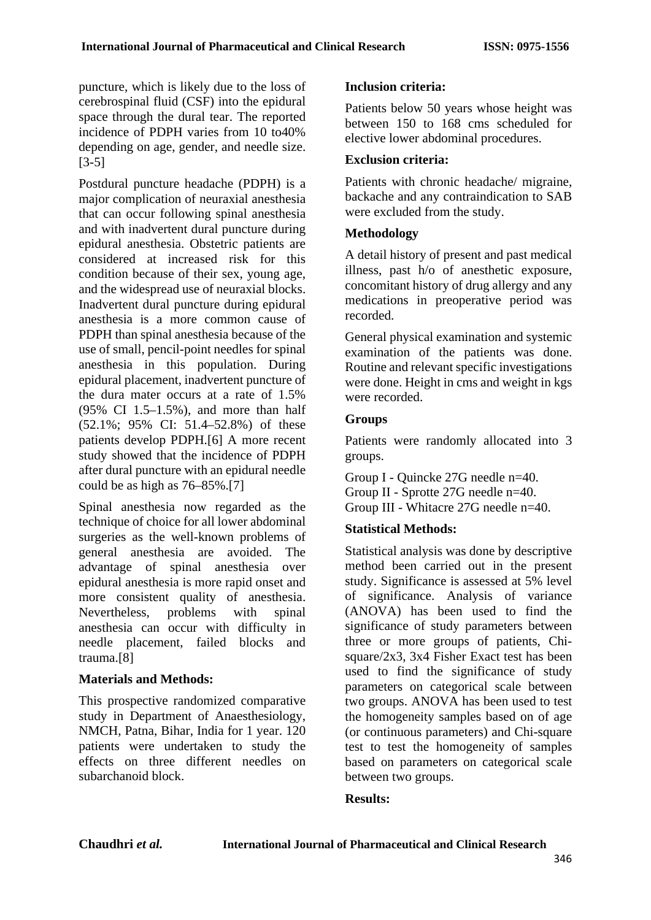puncture, which is likely due to the loss of cerebrospinal fluid (CSF) into the epidural space through the dural tear. The reported incidence of PDPH varies from 10 to40% depending on age, gender, and needle size. [3-5]

Postdural puncture headache (PDPH) is a major complication of neuraxial anesthesia that can occur following spinal anesthesia and with inadvertent dural puncture during epidural anesthesia. Obstetric patients are considered at increased risk for this condition because of their sex, young age, and the widespread use of neuraxial blocks. Inadvertent dural puncture during epidural anesthesia is a more common cause of PDPH than spinal anesthesia because of the use of small, pencil-point needles for spinal anesthesia in this population. During epidural placement, inadvertent puncture of the dura mater occurs at a rate of 1.5% (95% CI 1.5–1.5%), and more than half (52.1%; 95% CI: 51.4–52.8%) of these patients develop PDPH.[6] A more recent study showed that the incidence of PDPH after dural puncture with an epidural needle could be as high as 76–85%.[7]

Spinal anesthesia now regarded as the technique of choice for all lower abdominal surgeries as the well-known problems of general anesthesia are avoided. The advantage of spinal anesthesia over epidural anesthesia is more rapid onset and more consistent quality of anesthesia. Nevertheless, problems with spinal anesthesia can occur with difficulty in needle placement, failed blocks and trauma.[8]

#### **Materials and Methods:**

This prospective randomized comparative study in Department of Anaesthesiology, NMCH, Patna, Bihar, India for 1 year. 120 patients were undertaken to study the effects on three different needles on subarchanoid block.

#### **Inclusion criteria:**

Patients below 50 years whose height was between 150 to 168 cms scheduled for elective lower abdominal procedures.

## **Exclusion criteria:**

Patients with chronic headache/ migraine, backache and any contraindication to SAB were excluded from the study.

#### **Methodology**

A detail history of present and past medical illness, past h/o of anesthetic exposure, concomitant history of drug allergy and any medications in preoperative period was recorded.

General physical examination and systemic examination of the patients was done. Routine and relevant specific investigations were done. Height in cms and weight in kgs were recorded.

#### **Groups**

Patients were randomly allocated into 3 groups.

Group I - Quincke 27G needle n=40. Group II - Sprotte 27G needle n=40. Group III - Whitacre 27G needle n=40.

## **Statistical Methods:**

Statistical analysis was done by descriptive method been carried out in the present study. Significance is assessed at 5% level of significance. Analysis of variance (ANOVA) has been used to find the significance of study parameters between three or more groups of patients, Chisquare/2x3, 3x4 Fisher Exact test has been used to find the significance of study parameters on categorical scale between two groups. ANOVA has been used to test the homogeneity samples based on of age (or continuous parameters) and Chi-square test to test the homogeneity of samples based on parameters on categorical scale between two groups.

#### **Results:**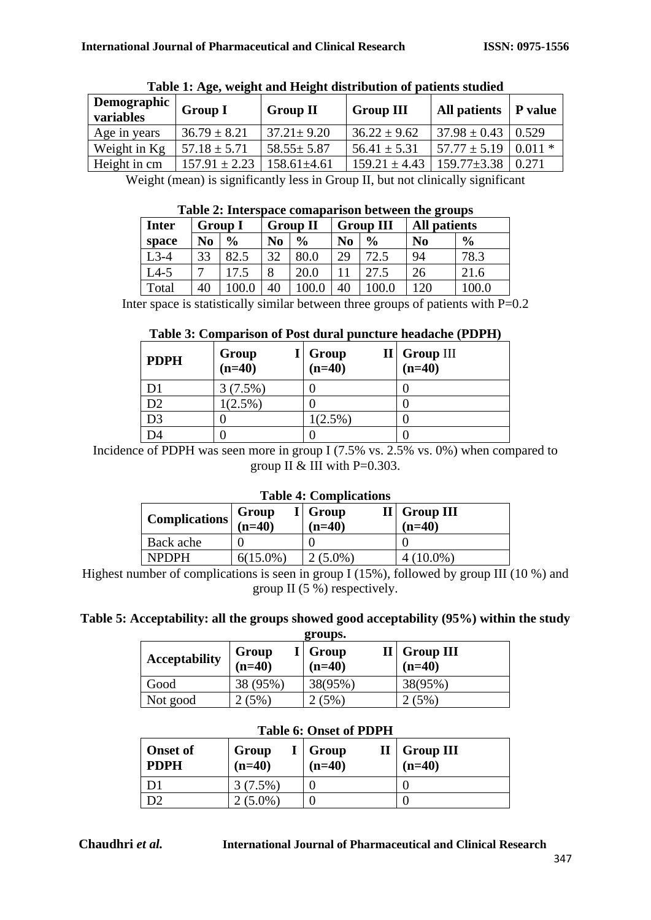| Demographic<br>variables | <b>Group I</b>    | <b>Group II</b>   | <b>Group III</b>  | All patients      | <b>P</b> value |
|--------------------------|-------------------|-------------------|-------------------|-------------------|----------------|
| Age in years             | $36.79 \pm 8.21$  | $37.21 \pm 9.20$  | $36.22 \pm 9.62$  | $37.98 \pm 0.43$  | 0.529          |
| Weight in Kg             | $57.18 \pm 5.71$  | $58.55 \pm 5.87$  | $56.41 \pm 5.31$  | $57.77 \pm 5.19$  | $10.011*$      |
| Height in cm             | $157.91 \pm 2.23$ | $158.61 \pm 4.61$ | $159.21 \pm 4.43$ | $159.77 \pm 3.38$ | 0.271          |

|  |  | Table 1: Age, weight and Height distribution of patients studied |
|--|--|------------------------------------------------------------------|
|  |  |                                                                  |
|  |  |                                                                  |
|  |  |                                                                  |

Weight (mean) is significantly less in Group II, but not clinically significant

|              | Table 2: Interspace comaparison between the groups |                |                |                 |                |                  |                     |               |
|--------------|----------------------------------------------------|----------------|----------------|-----------------|----------------|------------------|---------------------|---------------|
| <b>Inter</b> |                                                    | <b>Group I</b> |                | <b>Group II</b> |                | <b>Group III</b> | <b>All patients</b> |               |
| space        | N <sub>0</sub>                                     | $\frac{0}{0}$  | N <sub>0</sub> | $\frac{0}{0}$   | N <sub>0</sub> | $\frac{6}{9}$    | N <sub>0</sub>      | $\frac{6}{9}$ |
| $L3-4$       | 33                                                 | 82.5           | 32             | 80.0            | 29             | 72.5             | 94                  | 78.3          |
| $L4-5$       |                                                    | 17.5           | 8              | 20.0            |                | 27.5             | 26                  | 21.6          |
| Total        | 40                                                 | 100.0          | 40             | 0.0             | 40             | 0.001            | 120                 | 0.001         |

# **Table 2: Interspace comaparison between the groups**

Inter space is statistically similar between three groups of patients with  $P=0.2$ 

## **Table 3: Comparison of Post dural puncture headache (PDPH)**

| <b>PDPH</b>    | Group<br>$(n=40)$ | $I \mid$ Group<br>$(n=40)$ | $II \vert$ Group III<br>$(n=40)$ |
|----------------|-------------------|----------------------------|----------------------------------|
| D1             | 3(7.5%)           |                            |                                  |
| D2             | $1(2.5\%)$        |                            |                                  |
| D <sub>3</sub> |                   | $1(2.5\%)$                 |                                  |
|                |                   |                            |                                  |

Incidence of PDPH was seen more in group I (7.5% vs. 2.5% vs. 0%) when compared to group II & III with  $P=0.303$ .

#### **Table 4: Complications**

| Complications $\vert$ (n=40) | Group       | I Group<br>$(n=40)$ | $II \vert$ Group III<br>$(n=40)$ |
|------------------------------|-------------|---------------------|----------------------------------|
| Back ache                    |             |                     |                                  |
| <b>NPDPH</b>                 | $6(15.0\%)$ | $(5.0\%)$           | $(10.0\%)$                       |

Highest number of complications is seen in group I (15%), followed by group III (10 %) and group II (5 %) respectively.

## **Table 5: Acceptability: all the groups showed good acceptability (95%) within the study**

| groups.              |                   |                     |                                 |  |  |
|----------------------|-------------------|---------------------|---------------------------------|--|--|
| <b>Acceptability</b> | Group<br>$(n=40)$ | I Group<br>$(n=40)$ | $II \mid$ Group III<br>$(n=40)$ |  |  |
| Good                 | 38 (95%)          | 38(95%)             | 38(95%)                         |  |  |
| Not good             | $(5\%)$           | $(5\%)$             | $5\%$                           |  |  |

#### **Table 6: Onset of PDPH**

| <b>Onset of</b><br><b>PDPH</b> | Group<br>$(n=40)$ | $I \mid Group$<br>$(n=40)$ | $II \mid Group \nIII$<br>$(n=40)$ |
|--------------------------------|-------------------|----------------------------|-----------------------------------|
|                                | $3(7.5\%)$        |                            |                                   |
|                                | $(5.0\%)$         |                            |                                   |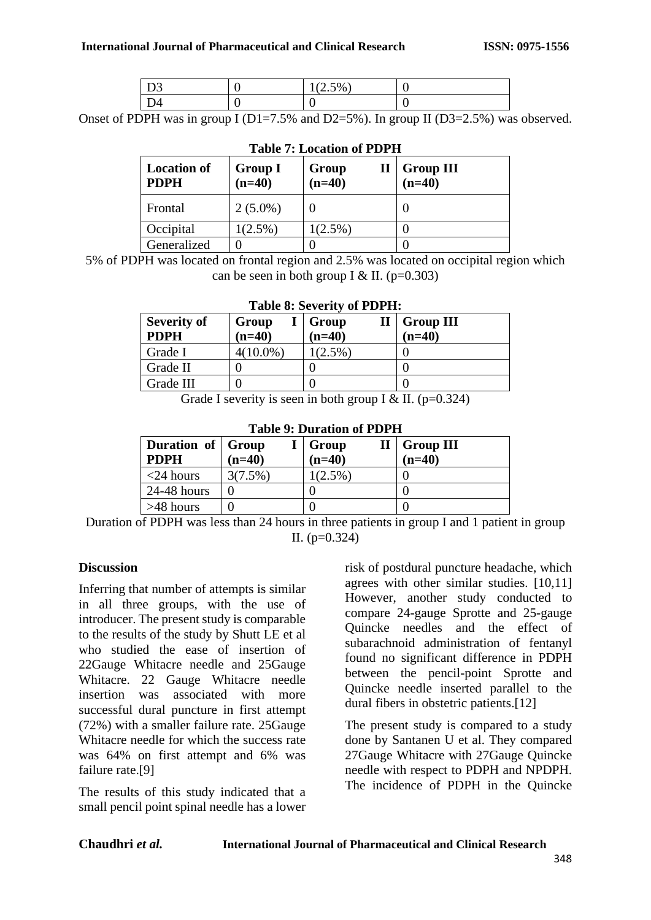| -<br>- | 50/6<br>$\sim$ $\sim$ $\prime$ |  |
|--------|--------------------------------|--|
| שנ     |                                |  |

Onset of PDPH was in group I ( $D1=7.5\%$  and  $D2=5\%$ ). In group II ( $D3=2.5\%$ ) was observed.

| <b>Location of</b><br><b>PDPH</b> | Group I<br>$(n=40)$ | Group<br>$\mathbf{I}$<br>$(n=40)$ | <b>Group III</b><br>$(n=40)$ |
|-----------------------------------|---------------------|-----------------------------------|------------------------------|
| Frontal                           | $2(5.0\%)$          |                                   |                              |
| Occipital                         | $(2.5\%)$           | $1(2.5\%)$                        |                              |
| Generalized                       |                     |                                   |                              |

## **Table 7: Location of PDPH**

5% of PDPH was located on frontal region and 2.5% was located on occipital region which can be seen in both group I & II. ( $p=0.303$ )

#### **Table 8: Severity of PDPH:**

| <b>Severity of</b><br><b>PDPH</b> | Group<br>$(n=40)$ | $I  $ Group<br>$(n=40)$ | $II \mid$ Group III<br>$(n=40)$ |
|-----------------------------------|-------------------|-------------------------|---------------------------------|
| Grade I                           | $4(10.0\%)$       | $1(2.5\%)$              |                                 |
| Grade II                          |                   |                         |                                 |
| Grade III                         |                   |                         |                                 |

Grade I severity is seen in both group I & II. ( $p=0.324$ )

## **Table 9: Duration of PDPH**

| Duration of Group<br><b>PDPH</b> | $(n=40)$ | I Group<br>$(n=40)$ | $II \mid$ Group III<br>$(n=40)$ |
|----------------------------------|----------|---------------------|---------------------------------|
| $<$ 24 hours                     | 3(7.5%)  | $1(2.5\%)$          |                                 |
| $24-48$ hours                    |          |                     |                                 |
| $>48$ hours                      |          |                     |                                 |

Duration of PDPH was less than 24 hours in three patients in group I and 1 patient in group II.  $(p=0.324)$ 

## **Discussion**

Inferring that number of attempts is similar in all three groups, with the use of introducer. The present study is comparable to the results of the study by Shutt LE et al who studied the ease of insertion of 22Gauge Whitacre needle and 25Gauge Whitacre. 22 Gauge Whitacre needle insertion was associated with more successful dural puncture in first attempt (72%) with a smaller failure rate. 25Gauge Whitacre needle for which the success rate was 64% on first attempt and 6% was failure rate.[9]

The results of this study indicated that a small pencil point spinal needle has a lower risk of postdural puncture headache, which agrees with other similar studies. [10,11] However, another study conducted to compare 24-gauge Sprotte and 25-gauge Quincke needles and the effect of subarachnoid administration of fentanyl found no significant difference in PDPH between the pencil-point Sprotte and Quincke needle inserted parallel to the dural fibers in obstetric patients.[12]

The present study is compared to a study done by Santanen U et al. They compared 27Gauge Whitacre with 27Gauge Quincke needle with respect to PDPH and NPDPH. The incidence of PDPH in the Quincke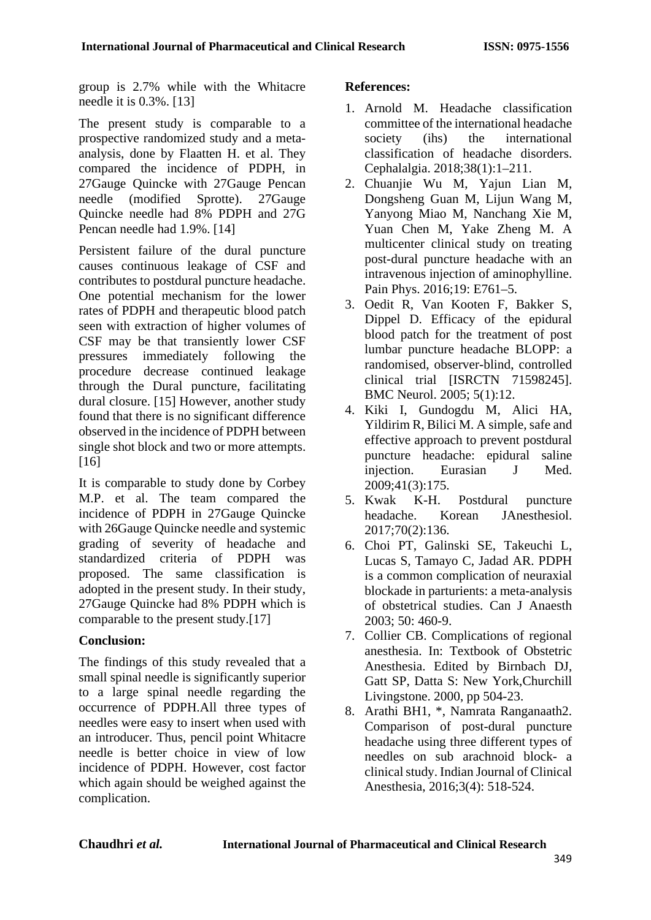group is 2.7% while with the Whitacre needle it is 0.3%. [13]

The present study is comparable to a prospective randomized study and a metaanalysis, done by Flaatten H. et al. They compared the incidence of PDPH, in 27Gauge Quincke with 27Gauge Pencan needle (modified Sprotte). 27Gauge Quincke needle had 8% PDPH and 27G Pencan needle had 1.9%. [14]

Persistent failure of the dural puncture causes continuous leakage of CSF and contributes to postdural puncture headache. One potential mechanism for the lower rates of PDPH and therapeutic blood patch seen with extraction of higher volumes of CSF may be that transiently lower CSF pressures immediately following the procedure decrease continued leakage through the Dural puncture, facilitating dural closure. [15] However, another study found that there is no significant difference observed in the incidence of PDPH between single shot block and two or more attempts. [16]

It is comparable to study done by Corbey M.P. et al. The team compared the incidence of PDPH in 27Gauge Quincke with 26Gauge Quincke needle and systemic grading of severity of headache and standardized criteria of PDPH was proposed. The same classification is adopted in the present study. In their study, 27Gauge Quincke had 8% PDPH which is comparable to the present study.[17]

## **Conclusion:**

The findings of this study revealed that a small spinal needle is significantly superior to a large spinal needle regarding the occurrence of PDPH.All three types of needles were easy to insert when used with an introducer. Thus, pencil point Whitacre needle is better choice in view of low incidence of PDPH. However, cost factor which again should be weighed against the complication.

## **References:**

- 1. Arnold M. Headache classification committee of the international headache society (ihs) the international classification of headache disorders. Cephalalgia. 2018;38(1):1–211.
- 2. Chuanjie Wu M, Yajun Lian M, Dongsheng Guan M, Lijun Wang M, Yanyong Miao M, Nanchang Xie M, Yuan Chen M, Yake Zheng M. A multicenter clinical study on treating post-dural puncture headache with an intravenous injection of aminophylline. Pain Phys. 2016;19: E761–5.
- 3. Oedit R, Van Kooten F, Bakker S, Dippel D. Efficacy of the epidural blood patch for the treatment of post lumbar puncture headache BLOPP: a randomised, observer-blind, controlled clinical trial [ISRCTN 71598245]. BMC Neurol. 2005; 5(1):12.
- 4. Kiki I, Gundogdu M, Alici HA, Yildirim R, Bilici M. A simple, safe and effective approach to prevent postdural puncture headache: epidural saline injection. Eurasian J Med. 2009;41(3):175.
- 5. Kwak K-H. Postdural puncture headache. Korean JAnesthesiol. 2017;70(2):136.
- 6. Choi PT, Galinski SE, Takeuchi L, Lucas S, Tamayo C, Jadad AR. PDPH is a common complication of neuraxial blockade in parturients: a meta-analysis of obstetrical studies. Can J Anaesth 2003; 50: 460-9.
- 7. Collier CB. Complications of regional anesthesia. In: Textbook of Obstetric Anesthesia. Edited by Birnbach DJ, Gatt SP, Datta S: New York,Churchill Livingstone. 2000, pp 504-23.
- 8. Arathi BH1, \*, Namrata Ranganaath2. Comparison of post-dural puncture headache using three different types of needles on sub arachnoid block- a clinical study. Indian Journal of Clinical Anesthesia, 2016;3(4): 518-524.